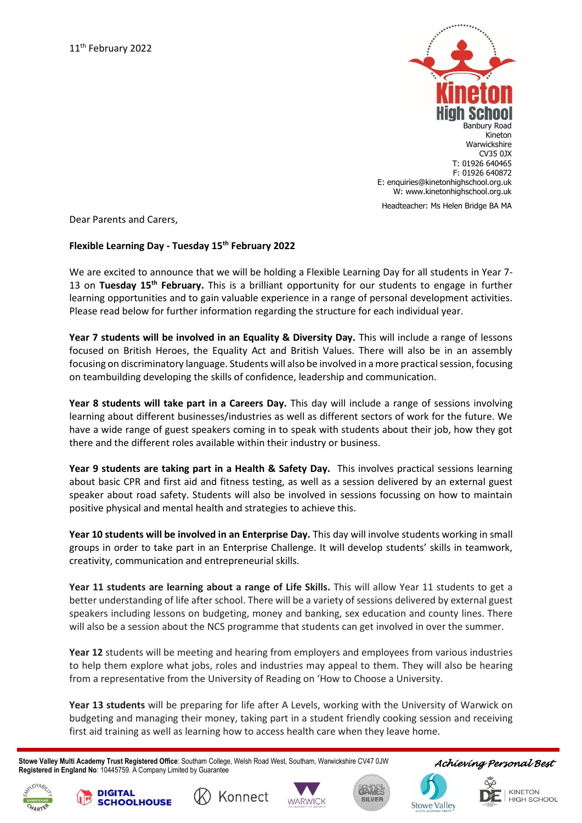

Dear Parents and Carers,

## **Flexible Learning Day - Tuesday 15th February 2022**

We are excited to announce that we will be holding a Flexible Learning Day for all students in Year 7- 13 on **Tuesday 15th February.** This is a brilliant opportunity for our students to engage in further learning opportunities and to gain valuable experience in a range of personal development activities. Please read below for further information regarding the structure for each individual year.

**Year 7 students will be involved in an Equality & Diversity Day.** This will include a range of lessons focused on British Heroes, the Equality Act and British Values. There will also be in an assembly focusing on discriminatory language. Students will also be involved in a more practical session, focusing on teambuilding developing the skills of confidence, leadership and communication.

**Year 8 students will take part in a Careers Day.** This day will include a range of sessions involving learning about different businesses/industries as well as different sectors of work for the future. We have a wide range of guest speakers coming in to speak with students about their job, how they got there and the different roles available within their industry or business.

**Year 9 students are taking part in a Health & Safety Day.** This involves practical sessions learning about basic CPR and first aid and fitness testing, as well as a session delivered by an external guest speaker about road safety. Students will also be involved in sessions focussing on how to maintain positive physical and mental health and strategies to achieve this.

**Year 10 students will be involved in an Enterprise Day.** This day will involve students working in small groups in order to take part in an Enterprise Challenge. It will develop students' skills in teamwork, creativity, communication and entrepreneurial skills.

**Year 11 students are learning about a range of Life Skills.** This will allow Year 11 students to get a better understanding of life after school. There will be a variety of sessions delivered by external guest speakers including lessons on budgeting, money and banking, sex education and county lines. There will also be a session about the NCS programme that students can get involved in over the summer.

**Year 12** students will be meeting and hearing from employers and employees from various industries to help them explore what jobs, roles and industries may appeal to them. They will also be hearing from a representative from the University of Reading on 'How to Choose a University.

**Year 13 students** will be preparing for life after A Levels, working with the University of Warwick on budgeting and managing their money, taking part in a student friendly cooking session and receiving first aid training as well as learning how to access health care when they leave home.

 **Stowe Valley Multi Academy Trust Registered Office**: Southam College, Welsh Road West, Southam, Warwickshire CV47 0JW **Registered in England No**: 10445759. A Company Limited by Guarantee